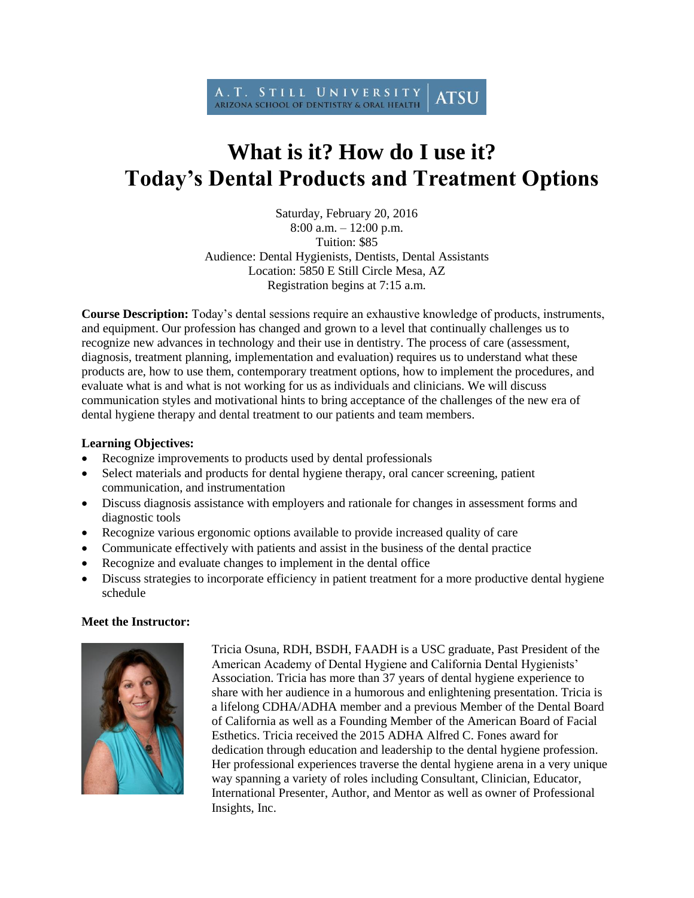

## **What is it? How do I use it? Today's Dental Products and Treatment Options**

Saturday, February 20, 2016 8:00 a.m. – 12:00 p.m. Tuition: \$85 Audience: Dental Hygienists, Dentists, Dental Assistants Location: 5850 E Still Circle Mesa, AZ Registration begins at 7:15 a.m.

**Course Description:** Today's dental sessions require an exhaustive knowledge of products, instruments, and equipment. Our profession has changed and grown to a level that continually challenges us to recognize new advances in technology and their use in dentistry. The process of care (assessment, diagnosis, treatment planning, implementation and evaluation) requires us to understand what these products are, how to use them, contemporary treatment options, how to implement the procedures, and evaluate what is and what is not working for us as individuals and clinicians. We will discuss communication styles and motivational hints to bring acceptance of the challenges of the new era of dental hygiene therapy and dental treatment to our patients and team members.

## **Learning Objectives:**

- Recognize improvements to products used by dental professionals
- Select materials and products for dental hygiene therapy, oral cancer screening, patient communication, and instrumentation
- Discuss diagnosis assistance with employers and rationale for changes in assessment forms and diagnostic tools
- Recognize various ergonomic options available to provide increased quality of care
- Communicate effectively with patients and assist in the business of the dental practice
- Recognize and evaluate changes to implement in the dental office
- Discuss strategies to incorporate efficiency in patient treatment for a more productive dental hygiene schedule

## **Meet the Instructor:**



Tricia Osuna, RDH, BSDH, FAADH is a USC graduate, Past President of the American Academy of Dental Hygiene and California Dental Hygienists' Association. Tricia has more than 37 years of dental hygiene experience to share with her audience in a humorous and enlightening presentation. Tricia is a lifelong CDHA/ADHA member and a previous Member of the Dental Board of California as well as a Founding Member of the American Board of Facial Esthetics. Tricia received the 2015 ADHA Alfred C. Fones award for dedication through education and leadership to the dental hygiene profession. Her professional experiences traverse the dental hygiene arena in a very unique way spanning a variety of roles including Consultant, Clinician, Educator, International Presenter, Author, and Mentor as well as owner of Professional Insights, Inc.